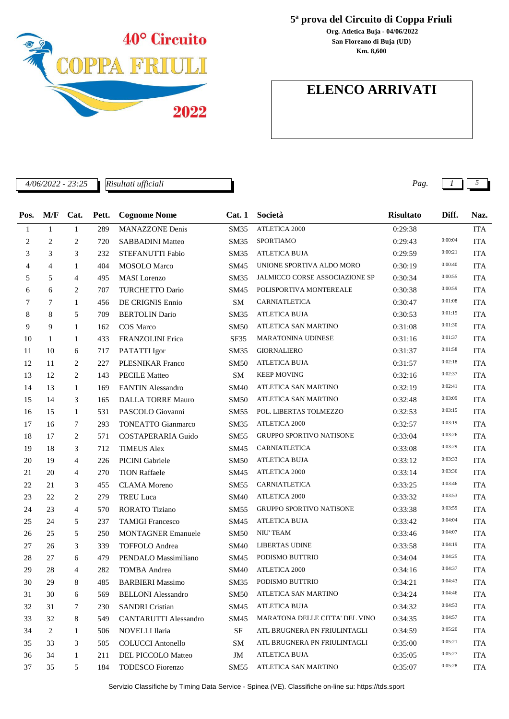

*Risultati ufficiali*

j.

**5ª prova del Circuito di Coppa Friuli**

**San Floreano di Buja (UD) Org. Atletica Buja - 04/06/2022 Km. 8,600**

## **ELENCO ARRIVATI**

*4/06/2022 - 23:25 Pag. 1 5*

| Pos. | M/F          | Cat.           | Pett. | <b>Cognome Nome</b>       | Cat. 1      | Società                         | <b>Risultato</b> | Diff.   | Naz.       |
|------|--------------|----------------|-------|---------------------------|-------------|---------------------------------|------------------|---------|------------|
| 1    | $\mathbf{1}$ | $\mathbf{1}$   | 289   | <b>MANAZZONE Denis</b>    | <b>SM35</b> | <b>ATLETICA 2000</b>            | 0:29:38          |         | <b>ITA</b> |
| 2    | 2            | 2              | 720   | <b>SABBADINI Matteo</b>   | <b>SM35</b> | <b>SPORTIAMO</b>                | 0:29:43          | 0:00:04 | <b>ITA</b> |
| 3    | 3            | 3              | 232   | STEFANUTTI Fabio          | <b>SM35</b> | <b>ATLETICA BUJA</b>            | 0:29:59          | 0:00:21 | <b>ITA</b> |
| 4    | 4            | 1              | 404   | <b>MOSOLO</b> Marco       | SM45        | UNIONE SPORTIVA ALDO MORO       | 0:30:19          | 0:00:40 | <b>ITA</b> |
| 5    | 5            | 4              | 495   | <b>MASI</b> Lorenzo       | SM35        | JALMICCO CORSE ASSOCIAZIONE SP  | 0:30:34          | 0:00:55 | <b>ITA</b> |
| 6    | 6            | 2              | 707   | <b>TURCHETTO Dario</b>    | SM45        | POLISPORTIVA MONTEREALE         | 0:30:38          | 0:00:59 | <b>ITA</b> |
| 7    | 7            | 1              | 456   | DE CRIGNIS Ennio          | <b>SM</b>   | CARNIATLETICA                   | 0:30:47          | 0:01:08 | <b>ITA</b> |
| 8    | 8            | 5              | 709   | <b>BERTOLIN Dario</b>     | <b>SM35</b> | <b>ATLETICA BUJA</b>            | 0:30:53          | 0:01:15 | <b>ITA</b> |
| 9    | 9            | $\mathbf{1}$   | 162   | COS Marco                 | SM50        | ATLETICA SAN MARTINO            | 0:31:08          | 0:01:30 | <b>ITA</b> |
| 10   | 1            | $\mathbf{1}$   | 433   | FRANZOLINI Erica          | SF35        | <b>MARATONINA UDINESE</b>       | 0:31:16          | 0:01:37 | <b>ITA</b> |
| 11   | 10           | 6              | 717   | PATATTI Igor              | <b>SM35</b> | <b>GIORNALIERO</b>              | 0:31:37          | 0:01:58 | <b>ITA</b> |
| 12   | 11           | 2              | 227   | <b>PLESNIKAR Franco</b>   | SM50        | <b>ATLETICA BUJA</b>            | 0:31:57          | 0:02:18 | <b>ITA</b> |
| 13   | 12           | 2              | 143   | <b>PECILE Matteo</b>      | <b>SM</b>   | <b>KEEP MOVING</b>              | 0:32:16          | 0:02:37 | <b>ITA</b> |
| 14   | 13           | $\mathbf{1}$   | 169   | <b>FANTIN Alessandro</b>  | SM40        | ATLETICA SAN MARTINO            | 0:32:19          | 0:02:41 | <b>ITA</b> |
| 15   | 14           | 3              | 165   | <b>DALLA TORRE Mauro</b>  | SM50        | ATLETICA SAN MARTINO            | 0:32:48          | 0:03:09 | <b>ITA</b> |
| 16   | 15           | $\mathbf{1}$   | 531   | PASCOLO Giovanni          | <b>SM55</b> | POL. LIBERTAS TOLMEZZO          | 0:32:53          | 0:03:15 | <b>ITA</b> |
| 17   | 16           | 7              | 293   | <b>TONEATTO Gianmarco</b> | SM35        | ATLETICA 2000                   | 0:32:57          | 0:03:19 | <b>ITA</b> |
| 18   | 17           | 2              | 571   | <b>COSTAPERARIA Guido</b> | SM55        | <b>GRUPPO SPORTIVO NATISONE</b> | 0:33:04          | 0:03:26 | <b>ITA</b> |
| 19   | 18           | 3              | 712   | <b>TIMEUS Alex</b>        | SM45        | CARNIATLETICA                   | 0:33:08          | 0:03:29 | <b>ITA</b> |
| 20   | 19           | $\overline{4}$ | 226   | PICINI Gabriele           | SM50        | <b>ATLETICA BUJA</b>            | 0:33:12          | 0:03:33 | <b>ITA</b> |
| 21   | 20           | 4              | 270   | <b>TION Raffaele</b>      | SM45        | ATLETICA 2000                   | 0:33:14          | 0:03:36 | <b>ITA</b> |
| 22   | 21           | 3              | 455   | <b>CLAMA</b> Moreno       | SM55        | CARNIATLETICA                   | 0:33:25          | 0:03:46 | <b>ITA</b> |
| 23   | 22           | 2              | 279   | <b>TREU Luca</b>          | SM40        | <b>ATLETICA 2000</b>            | 0:33:32          | 0:03:53 | <b>ITA</b> |
| 24   | 23           | $\overline{4}$ | 570   | <b>RORATO Tiziano</b>     | <b>SM55</b> | <b>GRUPPO SPORTIVO NATISONE</b> | 0:33:38          | 0:03:59 | <b>ITA</b> |
| 25   | 24           | 5              | 237   | <b>TAMIGI Francesco</b>   | SM45        | <b>ATLETICA BUJA</b>            | 0:33:42          | 0:04:04 | <b>ITA</b> |
| 26   | 25           | 5              | 250   | <b>MONTAGNER Emanuele</b> | SM50        | NIU' TEAM                       | 0:33:46          | 0:04:07 | <b>ITA</b> |
| 27   | 26           | 3              | 339   | <b>TOFFOLO</b> Andrea     | <b>SM40</b> | <b>LIBERTAS UDINE</b>           | 0:33:58          | 0:04:19 | <b>ITA</b> |
| 28   | 27           | 6              | 479   | PENDALO Massimiliano      | SM45        | PODISMO BUTTRIO                 | 0:34:04          | 0:04:25 | <b>ITA</b> |
| 29   | 28           | 4              | 282   | <b>TOMBA</b> Andrea       | SM40        | <b>ATLETICA 2000</b>            | 0:34:16          | 0:04:37 | <b>ITA</b> |
| 30   | 29           | 8              | 485   | <b>BARBIERI</b> Massimo   | SM35        | PODISMO BUTTRIO                 | 0:34:21          | 0:04:43 | <b>ITA</b> |
| 31   | 30           | 6              | 569   | <b>BELLONI</b> Alessandro | <b>SM50</b> | ATLETICA SAN MARTINO            | 0:34:24          | 0:04:46 | <b>ITA</b> |
| 32   | 31           | 7              | 230   | <b>SANDRI</b> Cristian    | SM45        | <b>ATLETICA BUJA</b>            | 0:34:32          | 0:04:53 | <b>ITA</b> |
| 33   | 32           | 8              | 549   | CANTARUTTI Alessandro     | SM45        | MARATONA DELLE CITTA' DEL VINO  | 0:34:35          | 0:04:57 | <b>ITA</b> |
| 34   | 2            | 1              | 506   | NOVELLI Ilaria            | SF          | ATL BRUGNERA PN FRIULINTAGLI    | 0:34:59          | 0:05:20 | <b>ITA</b> |
| 35   | 33           | 3              | 505   | <b>COLUCCI</b> Antonello  | SM          | ATL BRUGNERA PN FRIULINTAGLI    | 0:35:00          | 0:05:21 | <b>ITA</b> |
| 36   | 34           | $\mathbf{1}$   | 211   | DEL PICCOLO Matteo        | JM          | <b>ATLETICA BUJA</b>            | 0:35:05          | 0:05:27 | <b>ITA</b> |
| 37   | 35           | 5              | 184   | TODESCO Fiorenzo          | SM55        | ATLETICA SAN MARTINO            | 0:35:07          | 0:05:28 | <b>ITA</b> |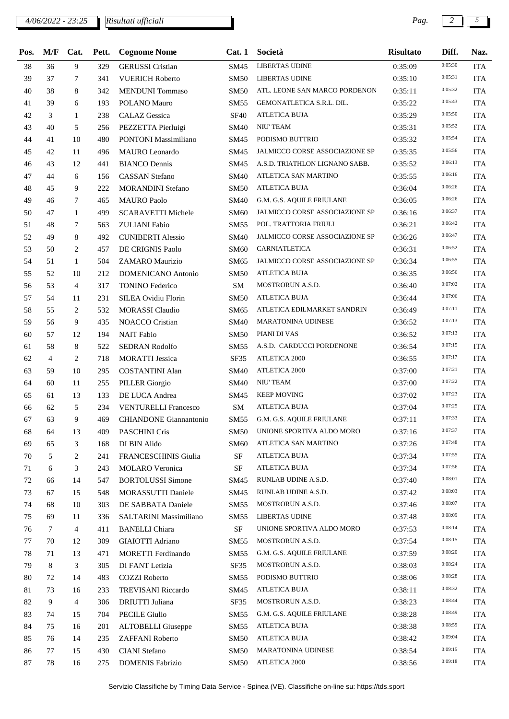## *4/06/2022 - 23:25 Pag. 2 5 Risultati ufficiali*

| Pos. | M/F            | Cat.           | Pett. | <b>Cognome Nome</b>           | Cat.1            | Società                               | <b>Risultato</b> | Diff.   | Naz.       |
|------|----------------|----------------|-------|-------------------------------|------------------|---------------------------------------|------------------|---------|------------|
| 38   | 36             | 9              | 329   | <b>GERUSSI</b> Cristian       | <b>SM45</b>      | <b>LIBERTAS UDINE</b>                 | 0:35:09          | 0:05:30 | <b>ITA</b> |
| 39   | 37             | 7              | 341   | <b>VUERICH Roberto</b>        | <b>SM50</b>      | <b>LIBERTAS UDINE</b>                 | 0:35:10          | 0:05:31 | <b>ITA</b> |
| 40   | 38             | 8              | 342   | <b>MENDUNI</b> Tommaso        | SM50             | ATL. LEONE SAN MARCO PORDENON         | 0:35:11          | 0:05:32 | <b>ITA</b> |
| 41   | 39             | 6              | 193   | POLANO Mauro                  | SM55             | GEMONATLETICA S.R.L. DIL.             | 0:35:22          | 0:05:43 | <b>ITA</b> |
| 42   | 3              | 1              | 238   | <b>CALAZ</b> Gessica          | <b>SF40</b>      | ATLETICA BUJA                         | 0:35:29          | 0:05:50 | <b>ITA</b> |
| 43   | 40             | 5              | 256   | PEZZETTA Pierluigi            | <b>SM40</b>      | <b>NIU' TEAM</b>                      | 0:35:31          | 0:05:52 | <b>ITA</b> |
| 44   | 41             | 10             | 480   | <b>PONTONI Massimiliano</b>   | SM45             | PODISMO BUTTRIO                       | 0:35:32          | 0:05:54 | <b>ITA</b> |
| 45   | 42             | 11             | 496   | <b>MAURO</b> Leonardo         | SM45             | JALMICCO CORSE ASSOCIAZIONE SP        | 0:35:35          | 0:05:56 | <b>ITA</b> |
| 46   | 43             | 12             | 441   | <b>BIANCO Dennis</b>          | SM45             | A.S.D. TRIATHLON LIGNANO SABB.        | 0:35:52          | 0:06:13 | <b>ITA</b> |
| 47   | 44             | 6              | 156   | <b>CASSAN</b> Stefano         | <b>SM40</b>      | ATLETICA SAN MARTINO                  | 0:35:55          | 0:06:16 | <b>ITA</b> |
| 48   | 45             | 9              | 222   | <b>MORANDINI Stefano</b>      | SM50             | <b>ATLETICA BUJA</b>                  | 0:36:04          | 0:06:26 | <b>ITA</b> |
| 49   | 46             | 7              | 465   | <b>MAURO</b> Paolo            | <b>SM40</b>      | G.M. G.S. AQUILE FRIULANE             | 0:36:05          | 0:06:26 | <b>ITA</b> |
| 50   | 47             | $\mathbf{1}$   | 499   | <b>SCARAVETTI Michele</b>     | <b>SM60</b>      | <b>JALMICCO CORSE ASSOCIAZIONE SP</b> | 0:36:16          | 0:06:37 | <b>ITA</b> |
| 51   | 48             | 7              | 563   | <b>ZULIANI</b> Fabio          | SM55             | POL. TRATTORIA FRIULI                 | 0:36:21          | 0:06:42 | <b>ITA</b> |
| 52   | 49             | 8              | 492   | <b>CUNIBERTI Alessio</b>      | <b>SM40</b>      | JALMICCO CORSE ASSOCIAZIONE SP        | 0:36:26          | 0:06:47 | <b>ITA</b> |
| 53   | 50             | 2              | 457   | DE CRIGNIS Paolo              | <b>SM60</b>      | <b>CARNIATLETICA</b>                  | 0:36:31          | 0:06:52 | <b>ITA</b> |
| 54   | 51             | $\mathbf{1}$   | 504   | ZAMARO Maurizio               | SM65             | JALMICCO CORSE ASSOCIAZIONE SP        | 0:36:34          | 0:06:55 | <b>ITA</b> |
| 55   | 52             | 10             | 212   | <b>DOMENICANO Antonio</b>     | <b>SM50</b>      | <b>ATLETICA BUJA</b>                  | 0:36:35          | 0:06:56 | <b>ITA</b> |
| 56   | 53             | $\overline{4}$ | 317   | <b>TONINO Federico</b>        | SM               | MOSTRORUN A.S.D.                      | 0:36:40          | 0:07:02 | <b>ITA</b> |
| 57   | 54             | 11             | 231   | <b>SILEA Ovidiu Florin</b>    | <b>SM50</b>      | <b>ATLETICA BUJA</b>                  | 0:36:44          | 0:07:06 | <b>ITA</b> |
| 58   | 55             | 2              | 532   | <b>MORASSI</b> Claudio        | SM65             | ATLETICA EDILMARKET SANDRIN           | 0:36:49          | 0:07:11 | <b>ITA</b> |
| 59   | 56             | 9              | 435   | <b>NOACCO</b> Cristian        | <b>SM40</b>      | <b>MARATONINA UDINESE</b>             | 0:36:52          | 0:07:13 | <b>ITA</b> |
| 60   | 57             | 12             | 194   | <b>NAIT</b> Fabio             | SM50             | PIANI DI VAS                          | 0:36:52          | 0:07:13 | <b>ITA</b> |
| 61   | 58             | 8              | 522   | <b>SEDRAN Rodolfo</b>         | SM55             | A.S.D. CARDUCCI PORDENONE             | 0:36:54          | 0:07:15 | <b>ITA</b> |
| 62   | $\overline{4}$ | 2              | 718   | <b>MORATTI</b> Jessica        | SF35             | ATLETICA 2000                         | 0:36:55          | 0:07:17 | <b>ITA</b> |
| 63   | 59             | 10             | 295   | <b>COSTANTINI Alan</b>        | <b>SM40</b>      | ATLETICA 2000                         | 0:37:00          | 0:07:21 | <b>ITA</b> |
| 64   | 60             | 11             | 255   | <b>PILLER</b> Giorgio         | SM40             | NIU' TEAM                             | 0:37:00          | 0:07:22 | <b>ITA</b> |
| 65   | 61             | 13             | 133   | DE LUCA Andrea                | SM45             | <b>KEEP MOVING</b>                    | 0:37:02          | 0:07:23 | <b>ITA</b> |
| 66   | 62             | 5              | 234   | <b>VENTURELLI Francesco</b>   | SM               | <b>ATLETICA BUJA</b>                  | 0:37:04          | 0:07:25 | <b>ITA</b> |
| 67   | 63             | 9              | 469   | <b>CHIANDONE</b> Giannantonio | SM55             | G.M. G.S. AQUILE FRIULANE             | 0:37:11          | 0:07:33 | <b>ITA</b> |
| 68   | 64             | 13             | 409   | <b>PASCHINI Cris</b>          | SM50             | UNIONE SPORTIVA ALDO MORO             | 0:37:16          | 0:07:37 | <b>ITA</b> |
| 69   | 65             | 3              | 168   | DI BIN Alido                  | SM <sub>60</sub> | ATLETICA SAN MARTINO                  | 0:37:26          | 0:07:48 | <b>ITA</b> |
| 70   | 5              | 2              | 241   | FRANCESCHINIS Giulia          | SF               | <b>ATLETICA BUJA</b>                  | 0:37:34          | 0:07:55 | <b>ITA</b> |
| 71   | 6              | 3              | 243   | <b>MOLARO</b> Veronica        | <b>SF</b>        | <b>ATLETICA BUJA</b>                  | 0:37:34          | 0:07:56 | <b>ITA</b> |
| 72   | 66             | 14             | 547   | <b>BORTOLUSSI</b> Simone      | SM45             | RUNLAB UDINE A.S.D.                   | 0:37:40          | 0:08:01 | <b>ITA</b> |
| 73   | 67             | 15             | 548   | MORASSUTTI Daniele            | SM45             | RUNLAB UDINE A.S.D.                   | 0:37:42          | 0:08:03 | ITA        |
| 74   | 68             | 10             | 303   | DE SABBATA Daniele            | SM55             | MOSTRORUN A.S.D.                      | 0:37:46          | 0:08:07 | <b>ITA</b> |
| 75   | 69             | 11             | 336   | SALTARINI Massimiliano        | SM55             | LIBERTAS UDINE                        | 0:37:48          | 0:08:09 | <b>ITA</b> |
| 76   | $\tau$         | 4              | 411   | <b>BANELLI</b> Chiara         | SF               | UNIONE SPORTIVA ALDO MORO             | 0:37:53          | 0:08:14 | <b>ITA</b> |
| 77   | 70             | 12             | 309   | <b>GIAIOTTI</b> Adriano       | SM <sub>55</sub> | MOSTRORUN A.S.D.                      | 0:37:54          | 0:08:15 | <b>ITA</b> |
| 78   | 71             | 13             | 471   | MORETTI Ferdinando            | SM55             | G.M. G.S. AQUILE FRIULANE             | 0:37:59          | 0:08:20 | <b>ITA</b> |
| 79   | 8              | 3              | 305   | DI FANT Letizia               | SF35             | MOSTRORUN A.S.D.                      | 0:38:03          | 0:08:24 | ITA        |
| 80   | 72             | 14             | 483   | <b>COZZI</b> Roberto          | SM55             | PODISMO BUTTRIO                       | 0:38:06          | 0:08:28 | <b>ITA</b> |
| 81   | 73             | 16             | 233   | <b>TREVISANI Riccardo</b>     | SM45             | <b>ATLETICA BUJA</b>                  | 0:38:11          | 0:08:32 | <b>ITA</b> |
| 82   | 9              | 4              | 306   | <b>DRIUTTI</b> Juliana        | SF35             | <b>MOSTRORUN A.S.D.</b>               | 0:38:23          | 0:08:44 | <b>ITA</b> |
| 83   | 74             | 15             | 704   | <b>PECILE Giulio</b>          | SM55             | G.M. G.S. AQUILE FRIULANE             | 0:38:28          | 0:08:49 | <b>ITA</b> |
| 84   | 75             | 16             | 201   | <b>ALTOBELLI</b> Giuseppe     | SM55             | <b>ATLETICA BUJA</b>                  | 0:38:38          | 0:08:59 | ITA        |
| 85   | 76             | 14             | 235   | ZAFFANI Roberto               | <b>SM50</b>      | <b>ATLETICA BUJA</b>                  | 0:38:42          | 0:09:04 | <b>ITA</b> |
| 86   | 77             | 15             | 430   | <b>CIANI</b> Stefano          | <b>SM50</b>      | <b>MARATONINA UDINESE</b>             | 0:38:54          | 0:09:15 | <b>ITA</b> |
| 87   | 78             | 16             | 275   | <b>DOMENIS Fabrizio</b>       | <b>SM50</b>      | ATLETICA 2000                         | 0:38:56          | 0:09:18 | <b>ITA</b> |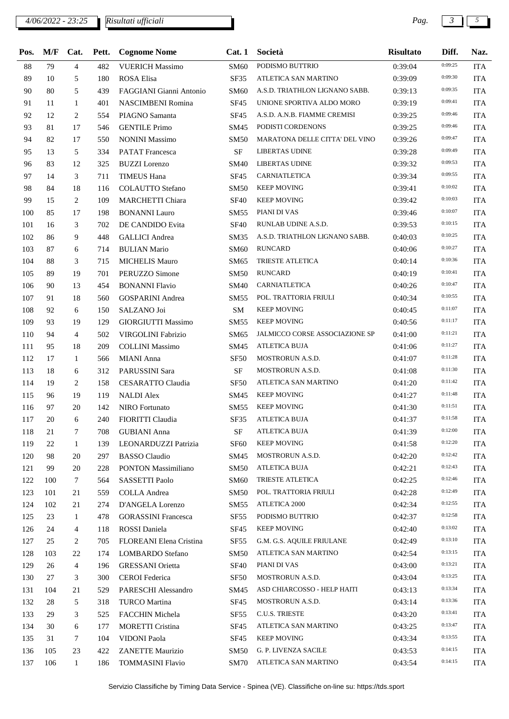*4/06/2022 - 23:25 Pag. 3 5 Risultati ufficiali*

| Pos. | M/F | Cat.           | Pett. | <b>Cognome Nome</b>        | Cat.1       | Società                        | <b>Risultato</b> | Diff.   | Naz.       |
|------|-----|----------------|-------|----------------------------|-------------|--------------------------------|------------------|---------|------------|
| 88   | 79  | $\overline{4}$ | 482   | <b>VUERICH Massimo</b>     | SM60        | PODISMO BUTTRIO                | 0:39:04          | 0:09:25 | <b>ITA</b> |
| 89   | 10  | 5              | 180   | <b>ROSA Elisa</b>          | SF35        | ATLETICA SAN MARTINO           | 0:39:09          | 0:09:30 | <b>ITA</b> |
| 90   | 80  | 5              | 439   | FAGGIANI Gianni Antonio    | SM60        | A.S.D. TRIATHLON LIGNANO SABB. | 0:39:13          | 0:09:35 | <b>ITA</b> |
| 91   | 11  | $\mathbf{1}$   | 401   | <b>NASCIMBENI Romina</b>   | <b>SF45</b> | UNIONE SPORTIVA ALDO MORO      | 0:39:19          | 0:09:41 | <b>ITA</b> |
| 92   | 12  | 2              | 554   | PIAGNO Samanta             | SF45        | A.S.D. A.N.B. FIAMME CREMISI   | 0:39:25          | 0:09:46 | <b>ITA</b> |
| 93   | 81  | 17             | 546   | <b>GENTILE Primo</b>       | SM45        | PODISTI CORDENONS              | 0:39:25          | 0:09:46 | <b>ITA</b> |
| 94   | 82  | 17             | 550   | <b>NONINI Massimo</b>      | SM50        | MARATONA DELLE CITTA' DEL VINO | 0:39:26          | 0:09:47 | <b>ITA</b> |
| 95   | 13  | 5              | 334   | <b>PATAT</b> Francesca     | <b>SF</b>   | <b>LIBERTAS UDINE</b>          | 0:39:28          | 0:09:49 | <b>ITA</b> |
| 96   | 83  | 12             | 325   | <b>BUZZI</b> Lorenzo       | SM40        | LIBERTAS UDINE                 | 0:39:32          | 0:09:53 | <b>ITA</b> |
| 97   | 14  | 3              | 711   | <b>TIMEUS Hana</b>         | SF45        | CARNIATLETICA                  | 0:39:34          | 0:09:55 | <b>ITA</b> |
| 98   | 84  | 18             | 116   | <b>COLAUTTO</b> Stefano    | SM50        | <b>KEEP MOVING</b>             | 0:39:41          | 0:10:02 | <b>ITA</b> |
| 99   | 15  | 2              | 109   | <b>MARCHETTI Chiara</b>    | <b>SF40</b> | <b>KEEP MOVING</b>             | 0:39:42          | 0:10:03 | <b>ITA</b> |
| 100  | 85  | 17             | 198   | <b>BONANNI</b> Lauro       | SM55        | PIANI DI VAS                   | 0:39:46          | 0:10:07 | <b>ITA</b> |
| 101  | 16  | 3              | 702   | DE CANDIDO Evita           | <b>SF40</b> | RUNLAB UDINE A.S.D.            | 0:39:53          | 0:10:15 | <b>ITA</b> |
| 102  | 86  | 9              | 448   | <b>GALLICI</b> Andrea      | SM35        | A.S.D. TRIATHLON LIGNANO SABB. | 0:40:03          | 0:10:25 | <b>ITA</b> |
| 103  | 87  | 6              | 714   | <b>BULIAN Mario</b>        | SM60        | <b>RUNCARD</b>                 | 0:40:06          | 0:10:27 | <b>ITA</b> |
| 104  | 88  | 3              | 715   | <b>MICHELIS Mauro</b>      | SM65        | <b>TRIESTE ATLETICA</b>        | 0:40:14          | 0:10:36 | <b>ITA</b> |
| 105  | 89  | 19             | 701   | PERUZZO Simone             | <b>SM50</b> | <b>RUNCARD</b>                 | 0:40:19          | 0:10:41 | <b>ITA</b> |
| 106  | 90  | 13             | 454   | <b>BONANNI Flavio</b>      | <b>SM40</b> | CARNIATLETICA                  | 0:40:26          | 0:10:47 | <b>ITA</b> |
| 107  | 91  | 18             | 560   | <b>GOSPARINI</b> Andrea    | SM55        | POL. TRATTORIA FRIULI          | 0:40:34          | 0:10:55 | <b>ITA</b> |
| 108  | 92  | 6              | 150   | SALZANO Joi                | <b>SM</b>   | <b>KEEP MOVING</b>             | 0:40:45          | 0:11:07 | <b>ITA</b> |
| 109  | 93  | 19             | 129   | <b>GIORGIUTTI Massimo</b>  | SM55        | <b>KEEP MOVING</b>             | 0:40:56          | 0:11:17 | <b>ITA</b> |
| 110  | 94  | $\overline{4}$ | 502   | <b>VIRGOLINI Fabrizio</b>  | SM65        | JALMICCO CORSE ASSOCIAZIONE SP | 0:41:00          | 0:11:21 | <b>ITA</b> |
| 111  | 95  | 18             | 209   | <b>COLLINI</b> Massimo     | SM45        | <b>ATLETICA BUJA</b>           | 0:41:06          | 0:11:27 | <b>ITA</b> |
| 112  | 17  | 1              | 566   | MIANI Anna                 | <b>SF50</b> | MOSTRORUN A.S.D.               | 0:41:07          | 0:11:28 | <b>ITA</b> |
| 113  | 18  | 6              | 312   | PARUSSINI Sara             | <b>SF</b>   | MOSTRORUN A.S.D.               | 0:41:08          | 0:11:30 | <b>ITA</b> |
| 114  | 19  | 2              | 158   | <b>CESARATTO Claudia</b>   | SF50        | ATLETICA SAN MARTINO           | 0:41:20          | 0:11:42 | <b>ITA</b> |
| 115  | 96  | 19             | 119   | <b>NALDI Alex</b>          | SM45        | <b>KEEP MOVING</b>             | 0:41:27          | 0:11:48 | <b>ITA</b> |
| 116  | 97  | 20             | 142   | <b>NIRO</b> Fortunato      | SM55        | <b>KEEP MOVING</b>             | 0:41:30          | 0:11:51 | <b>ITA</b> |
| 117  | 20  | 6              | 240   | FIORITTI Claudia           | SF35        | <b>ATLETICA BUJA</b>           | 0:41:37          | 0:11:58 | <b>ITA</b> |
| 118  | 21  | 7              | 708   | <b>GUBIANI</b> Anna        | <b>SF</b>   | <b>ATLETICA BUJA</b>           | 0:41:39          | 0:12:00 | ITA        |
| 119  | 22  | 1              | 139   | LEONARDUZZI Patrizia       | <b>SF60</b> | <b>KEEP MOVING</b>             | 0:41:58          | 0:12:20 | ITA        |
| 120  | 98  | 20             | 297   | <b>BASSO</b> Claudio       | SM45        | MOSTRORUN A.S.D.               | 0:42:20          | 0:12:42 | <b>ITA</b> |
| 121  | 99  | 20             | 228   | PONTON Massimiliano        | <b>SM50</b> | <b>ATLETICA BUJA</b>           | 0:42:21          | 0:12:43 | <b>ITA</b> |
| 122  | 100 | 7              | 564   | SASSETTI Paolo             | <b>SM60</b> | TRIESTE ATLETICA               | 0:42:25          | 0:12:46 | <b>ITA</b> |
| 123  | 101 | 21             | 559   | <b>COLLA</b> Andrea        | SM50        | POL. TRATTORIA FRIULI          | 0:42:28          | 0:12:49 | ITA        |
| 124  | 102 | 21             | 274   | D'ANGELA Lorenzo           | SM55        | ATLETICA 2000                  | 0:42:34          | 0:12:55 | ITA        |
| 125  | 23  | 1              | 478   | <b>GORASSINI</b> Francesca | SF55        | PODISMO BUTTRIO                | 0:42:37          | 0:12:58 | <b>ITA</b> |
| 126  | 24  | $\overline{4}$ | 118   | ROSSI Daniela              | SF45        | <b>KEEP MOVING</b>             | 0:42:40          | 0:13:02 | ITA        |
| 127  | 25  | 2              | 705   | FLOREANI Elena Cristina    | SF55        | G.M. G.S. AQUILE FRIULANE      | 0:42:49          | 0:13:10 | ITA        |
| 128  | 103 | 22             | 174   | <b>LOMBARDO</b> Stefano    | SM50        | ATLETICA SAN MARTINO           | 0:42:54          | 0:13:15 | <b>ITA</b> |
| 129  | 26  | $\overline{4}$ | 196   | <b>GRESSANI</b> Orietta    | <b>SF40</b> | PIANI DI VAS                   | 0:43:00          | 0:13:21 | ITA        |
| 130  | 27  | 3              | 300   | <b>CEROI</b> Federica      | SF50        | MOSTRORUN A.S.D.               | 0:43:04          | 0:13:25 | <b>ITA</b> |
| 131  | 104 | 21             | 529   | PARESCHI Alessandro        | SM45        | ASD CHIARCOSSO - HELP HAITI    | 0:43:13          | 0:13:34 | ITA        |
| 132  | 28  | 5              | 318   | TURCO Martina              | SF45        | MOSTRORUN A.S.D.               | 0:43:14          | 0:13:36 | ITA        |
| 133  | 29  | 3              | 525   | FACCHIN Michela            | SF55        | <b>C.U.S. TRIESTE</b>          | 0:43:20          | 0:13:41 | <b>ITA</b> |
| 134  | 30  | 6              | 177   | <b>MORETTI Cristina</b>    | SF45        | ATLETICA SAN MARTINO           | 0:43:25          | 0:13:47 | ITA        |
| 135  | 31  | 7              | 104   | VIDONI Paola               | SF45        | <b>KEEP MOVING</b>             | 0:43:34          | 0:13:55 | ITA        |
| 136  | 105 | 23             | 422   | <b>ZANETTE Maurizio</b>    | SM50        | G. P. LIVENZA SACILE           | 0:43:53          | 0:14:15 | ITA        |
| 137  | 106 | $\mathbf{1}$   | 186   | <b>TOMMASINI Flavio</b>    | SM70        | ATLETICA SAN MARTINO           | 0:43:54          | 0:14:15 | <b>ITA</b> |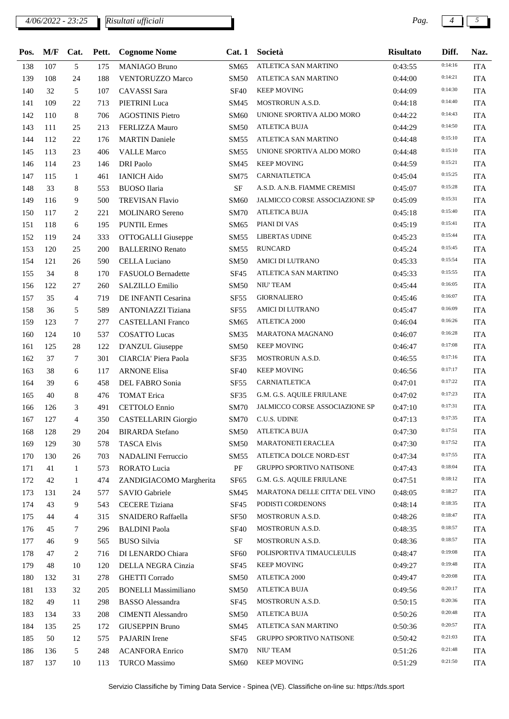## *4/06/2022 - 23:25 Pag. 4 5 Risultati ufficiali*

| Pos. | M/F | Cat.           | Pett. | <b>Cognome Nome</b>         | Cat.1            | Società                         | <b>Risultato</b> | Diff.   | Naz.       |
|------|-----|----------------|-------|-----------------------------|------------------|---------------------------------|------------------|---------|------------|
| 138  | 107 | 5              | 175   | <b>MANIAGO Bruno</b>        | SM65             | ATLETICA SAN MARTINO            | 0:43:55          | 0:14:16 | <b>ITA</b> |
| 139  | 108 | 24             | 188   | <b>VENTORUZZO Marco</b>     | <b>SM50</b>      | ATLETICA SAN MARTINO            | 0:44:00          | 0:14:21 | <b>ITA</b> |
| 140  | 32  | 5              | 107   | <b>CAVASSI</b> Sara         | <b>SF40</b>      | <b>KEEP MOVING</b>              | 0:44:09          | 0:14:30 | <b>ITA</b> |
| 141  | 109 | 22             | 713   | PIETRINI Luca               | SM45             | MOSTRORUN A.S.D.                | 0:44:18          | 0:14:40 | <b>ITA</b> |
| 142  | 110 | 8              | 706   | <b>AGOSTINIS Pietro</b>     | SM60             | UNIONE SPORTIVA ALDO MORO       | 0:44:22          | 0:14:43 | <b>ITA</b> |
| 143  | 111 | 25             | 213   | <b>FERLIZZA Mauro</b>       | SM50             | <b>ATLETICA BUJA</b>            | 0:44:29          | 0:14:50 | <b>ITA</b> |
| 144  | 112 | 22             | 176   | <b>MARTIN</b> Daniele       | SM55             | ATLETICA SAN MARTINO            | 0:44:48          | 0:15:10 | <b>ITA</b> |
| 145  | 113 | 23             | 406   | <b>VALLE Marco</b>          | SM55             | UNIONE SPORTIVA ALDO MORO       | 0:44:48          | 0:15:10 | <b>ITA</b> |
| 146  | 114 | 23             | 146   | <b>DRI</b> Paolo            | SM45             | <b>KEEP MOVING</b>              | 0:44:59          | 0:15:21 | <b>ITA</b> |
| 147  | 115 | 1              | 461   | <b>IANICH Aido</b>          | SM75             | CARNIATLETICA                   | 0:45:04          | 0:15:25 | <b>ITA</b> |
| 148  | 33  | 8              | 553   | <b>BUOSO</b> Ilaria         | SF               | A.S.D. A.N.B. FIAMME CREMISI    | 0:45:07          | 0:15:28 | <b>ITA</b> |
| 149  | 116 | 9              | 500   | <b>TREVISAN Flavio</b>      | SM60             | JALMICCO CORSE ASSOCIAZIONE SP  | 0:45:09          | 0:15:31 | <b>ITA</b> |
| 150  | 117 | 2              | 221   | <b>MOLINARO</b> Sereno      | <b>SM70</b>      | ATLETICA BUJA                   | 0:45:18          | 0:15:40 | <b>ITA</b> |
| 151  | 118 | 6              | 195   | <b>PUNTIL Ermes</b>         | SM65             | PIANI DI VAS                    | 0:45:19          | 0:15:41 | <b>ITA</b> |
| 152  | 119 | 24             | 333   | OTTOGALLI Giuseppe          | SM55             | LIBERTAS UDINE                  | 0:45:23          | 0:15:44 | <b>ITA</b> |
| 153  | 120 | 25             | 200   | <b>BALLERINO Renato</b>     | SM55             | <b>RUNCARD</b>                  | 0:45:24          | 0:15:45 | <b>ITA</b> |
| 154  | 121 | 26             | 590   | <b>CELLA Luciano</b>        | SM50             | AMICI DI LUTRANO                | 0:45:33          | 0:15:54 | <b>ITA</b> |
| 155  | 34  | 8              | 170   | <b>FASUOLO</b> Bernadette   | <b>SF45</b>      | ATLETICA SAN MARTINO            | 0:45:33          | 0:15:55 | <b>ITA</b> |
| 156  | 122 | 27             | 260   | SALZILLO Emilio             | SM50             | NIU' TEAM                       | 0:45:44          | 0:16:05 | <b>ITA</b> |
| 157  | 35  | $\overline{4}$ | 719   | DE INFANTI Cesarina         | SF <sub>55</sub> | <b>GIORNALIERO</b>              | 0:45:46          | 0:16:07 | <b>ITA</b> |
| 158  | 36  | 5              | 589   | <b>ANTONIAZZI Tiziana</b>   | <b>SF55</b>      | AMICI DI LUTRANO                | 0:45:47          | 0:16:09 | <b>ITA</b> |
| 159  | 123 | 7              | 277   | <b>CASTELLANI Franco</b>    | SM65             | <b>ATLETICA 2000</b>            | 0:46:04          | 0:16:26 | <b>ITA</b> |
| 160  | 124 | 10             | 537   | <b>COSATTO Lucas</b>        | SM35             | <b>MARATONA MAGNANO</b>         | 0:46:07          | 0:16:28 | <b>ITA</b> |
| 161  | 125 | 28             | 122   | D'ANZUL Giuseppe            | <b>SM50</b>      | <b>KEEP MOVING</b>              | 0:46:47          | 0:17:08 | <b>ITA</b> |
| 162  | 37  | 7              | 301   | CIARCIA' Piera Paola        | SF35             | <b>MOSTRORUN A.S.D.</b>         | 0:46:55          | 0:17:16 | <b>ITA</b> |
| 163  | 38  | 6              | 117   | <b>ARNONE Elisa</b>         | <b>SF40</b>      | <b>KEEP MOVING</b>              | 0:46:56          | 0:17:17 | <b>ITA</b> |
| 164  | 39  | 6              | 458   | DEL FABRO Sonia             | SF55             | CARNIATLETICA                   | 0:47:01          | 0:17:22 | <b>ITA</b> |
| 165  | 40  | 8              | 476   | <b>TOMAT Erica</b>          | SF35             | G.M. G.S. AQUILE FRIULANE       | 0:47:02          | 0:17:23 | <b>ITA</b> |
| 166  | 126 | 3              | 491   | CETTOLO Ennio               | <b>SM70</b>      | JALMICCO CORSE ASSOCIAZIONE SP  | 0:47:10          | 0:17:31 | <b>ITA</b> |
| 167  | 127 | $\overline{4}$ | 350   | <b>CASTELLARIN</b> Giorgio  | <b>SM70</b>      | C.U.S. UDINE                    | 0:47:13          | 0:17:35 | <b>ITA</b> |
| 168  | 128 | 29             | 204   | <b>BIRARDA</b> Stefano      | <b>SM50</b>      | <b>ATLETICA BUJA</b>            | 0:47:30          | 0:17:51 | <b>ITA</b> |
| 169  | 129 | 30             | 578   | <b>TASCA Elvis</b>          | <b>SM50</b>      | <b>MARATONETI ERACLEA</b>       | 0:47:30          | 0:17:52 | <b>ITA</b> |
| 170  | 130 | 26             | 703   | NADALINI Ferruccio          | SM55             | ATLETICA DOLCE NORD-EST         | 0:47:34          | 0:17:55 | <b>ITA</b> |
| 171  | 41  | 1              | 573   | RORATO Lucia                | PF               | <b>GRUPPO SPORTIVO NATISONE</b> | 0:47:43          | 0:18:04 | <b>ITA</b> |
| 172  | 42  | 1              | 474   | ZANDIGIACOMO Margherita     | SF <sub>65</sub> | G.M. G.S. AQUILE FRIULANE       | 0:47:51          | 0:18:12 | <b>ITA</b> |
| 173  | 131 | 24             | 577   | SAVIO Gabriele              | SM45             | MARATONA DELLE CITTA' DEL VINO  | 0:48:05          | 0:18:27 | <b>ITA</b> |
| 174  | 43  | 9              | 543   | <b>CECERE</b> Tiziana       | SF <sub>45</sub> | PODISTI CORDENONS               | 0:48:14          | 0:18:35 | <b>ITA</b> |
| 175  | 44  | 4              | 315   | SNAIDERO Raffaella          | SF <sub>50</sub> | MOSTRORUN A.S.D.                | 0:48:26          | 0:18:47 | <b>ITA</b> |
| 176  | 45  | 7              | 296   | <b>BALDINI</b> Paola        | <b>SF40</b>      | MOSTRORUN A.S.D.                | 0:48:35          | 0:18:57 | <b>ITA</b> |
| 177  | 46  | 9              | 565   | <b>BUSO Silvia</b>          | SF               | MOSTRORUN A.S.D.                | 0:48:36          | 0:18:57 | <b>ITA</b> |
| 178  | 47  | 2              | 716   | DI LENARDO Chiara           | SF <sub>60</sub> | POLISPORTIVA TIMAUCLEULIS       | 0:48:47          | 0:19:08 | <b>ITA</b> |
| 179  | 48  | 10             | 120   | DELLA NEGRA Cinzia          | SF <sub>45</sub> | <b>KEEP MOVING</b>              | 0:49:27          | 0:19:48 | <b>ITA</b> |
| 180  | 132 | 31             | 278   | <b>GHETTI</b> Corrado       | <b>SM50</b>      | ATLETICA 2000                   | 0:49:47          | 0:20:08 | <b>ITA</b> |
| 181  | 133 | 32             | 205   | <b>BONELLI Massimiliano</b> | <b>SM50</b>      | <b>ATLETICA BUJA</b>            | 0:49:56          | 0:20:17 | <b>ITA</b> |
| 182  | 49  | 11             | 298   | <b>BASSO</b> Alessandra     | SF45             | MOSTRORUN A.S.D.                | 0:50:15          | 0:20:36 | <b>ITA</b> |
| 183  | 134 | 33             | 208   | <b>CIMENTI Alessandro</b>   | <b>SM50</b>      | ATLETICA BUJA                   | 0:50:26          | 0:20:48 | <b>ITA</b> |
| 184  | 135 | 25             | 172   | <b>GIUSEPPIN Bruno</b>      | SM45             | ATLETICA SAN MARTINO            | 0:50:36          | 0:20:57 | <b>ITA</b> |
| 185  | 50  | 12             | 575   | <b>PAJARIN</b> Irene        | SF45             | <b>GRUPPO SPORTIVO NATISONE</b> | 0:50:42          | 0:21:03 | <b>ITA</b> |
| 186  | 136 | 5              | 248   | <b>ACANFORA Enrico</b>      | <b>SM70</b>      | NIU' TEAM                       | 0:51:26          | 0:21:48 | <b>ITA</b> |
| 187  | 137 | 10             | 113   | <b>TURCO Massimo</b>        | <b>SM60</b>      | <b>KEEP MOVING</b>              | 0:51:29          | 0:21:50 | <b>ITA</b> |